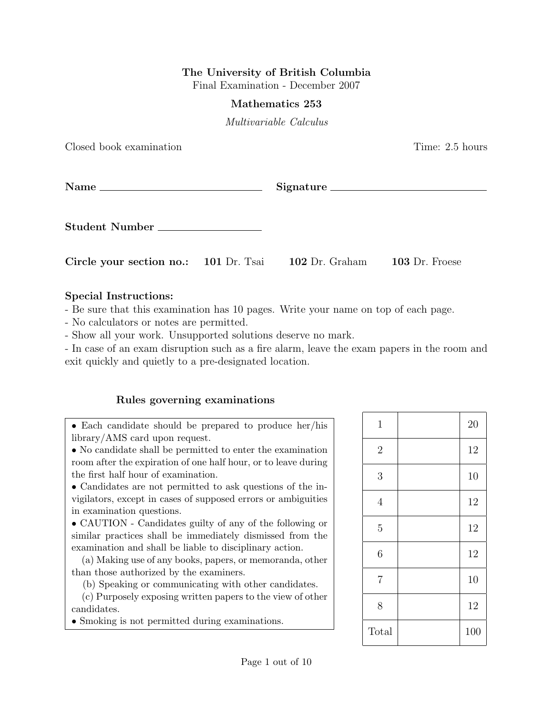## The University of British Columbia Final Examination - December 2007

Mathematics 253

Multivariable Calculus

| Closed book examination                                             |           | Time: 2.5 hours |
|---------------------------------------------------------------------|-----------|-----------------|
|                                                                     | Signature |                 |
| Student Number ________________                                     |           |                 |
| Circle your section no.: 101 Dr. Tsai 102 Dr. Graham 103 Dr. Froese |           |                 |

## Special Instructions:

- Be sure that this examination has 10 pages. Write your name on top of each page.

- No calculators or notes are permitted.

- Show all your work. Unsupported solutions deserve no mark.

- In case of an exam disruption such as a fire alarm, leave the exam papers in the room and exit quickly and quietly to a pre-designated location.

## Rules governing examinations

• Each candidate should be prepared to produce her/his library/AMS card upon request.

• No candidate shall be permitted to enter the examination room after the expiration of one half hour, or to leave during the first half hour of examination.

• Candidates are not permitted to ask questions of the invigilators, except in cases of supposed errors or ambiguities in examination questions.

• CAUTION - Candidates guilty of any of the following or similar practices shall be immediately dismissed from the examination and shall be liable to disciplinary action.

(a) Making use of any books, papers, or memoranda, other than those authorized by the examiners.

(b) Speaking or communicating with other candidates.

(c) Purposely exposing written papers to the view of other candidates.

• Smoking is not permitted during examinations.

| $\mathbf{1}$   | 20  |
|----------------|-----|
| $\overline{2}$ | 12  |
| 3              | 10  |
| $\overline{4}$ | 12  |
| $\overline{5}$ | 12  |
| $\overline{6}$ | 12  |
| $\overline{7}$ | 10  |
| 8              | 12  |
| Total          | 100 |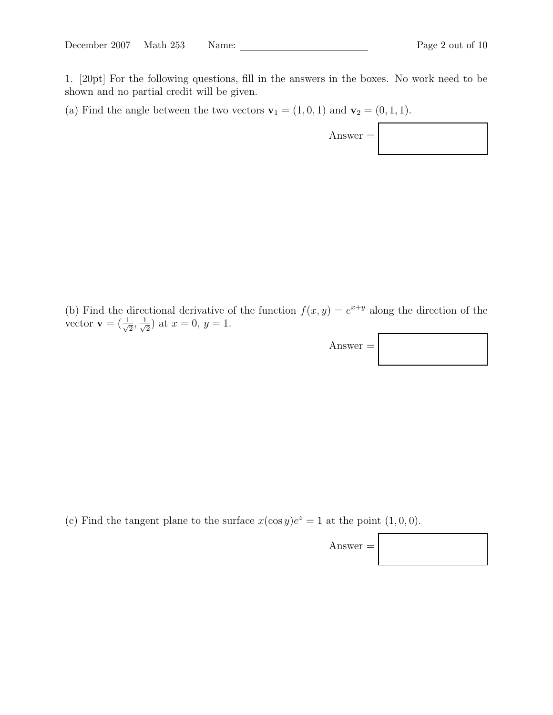1. [20pt] For the following questions, fill in the answers in the boxes. No work need to be shown and no partial credit will be given.

(a) Find the angle between the two vectors  $\mathbf{v}_1 = (1, 0, 1)$  and  $\mathbf{v}_2 = (0, 1, 1)$ .

 $\Delta$ nswer =

(b) Find the directional derivative of the function  $f(x, y) = e^{x+y}$  along the direction of the vector  $\mathbf{v} = \left(\frac{1}{\sqrt{2}}\right)$  $\overline{\overline{2}}$  ,  $\frac{1}{\sqrt{2}}$  $(\frac{1}{2})$  at  $x = 0, y = 1$ .

 $\begin{bmatrix} \text{Answer} = \end{bmatrix}$ 

(c) Find the tangent plane to the surface  $x(\cos y)e^z = 1$  at the point  $(1,0,0)$ .

 $\mathbf{Answer} =$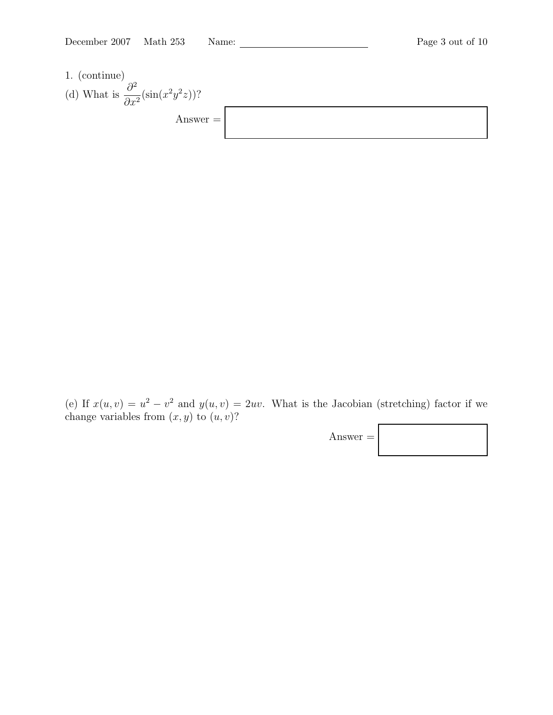

(e) If  $x(u, v) = u^2 - v^2$  and  $y(u, v) = 2uv$ . What is the Jacobian (stretching) factor if we change variables from  $(x, y)$  to  $(u, v)$ ?

 $\mathbf{Answer} =$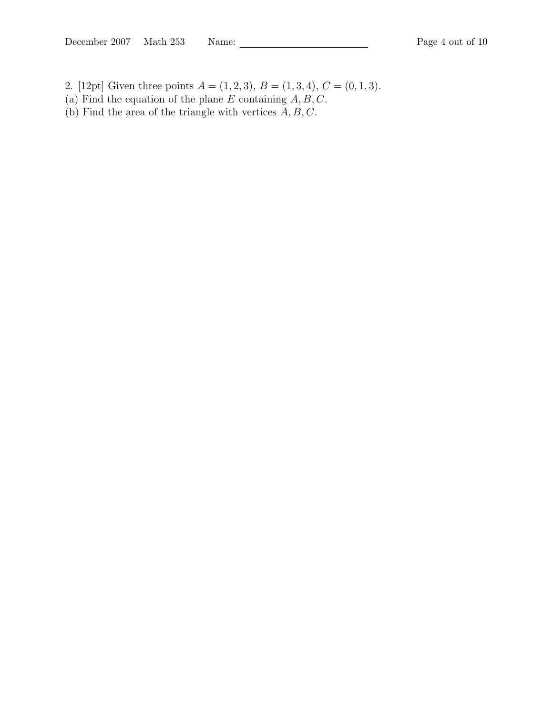- 2. [12pt] Given three points  $A = (1, 2, 3), B = (1, 3, 4), C = (0, 1, 3).$
- (a) Find the equation of the plane E containing  $A, B, C$ .
- (b) Find the area of the triangle with vertices  $A, B, C$ .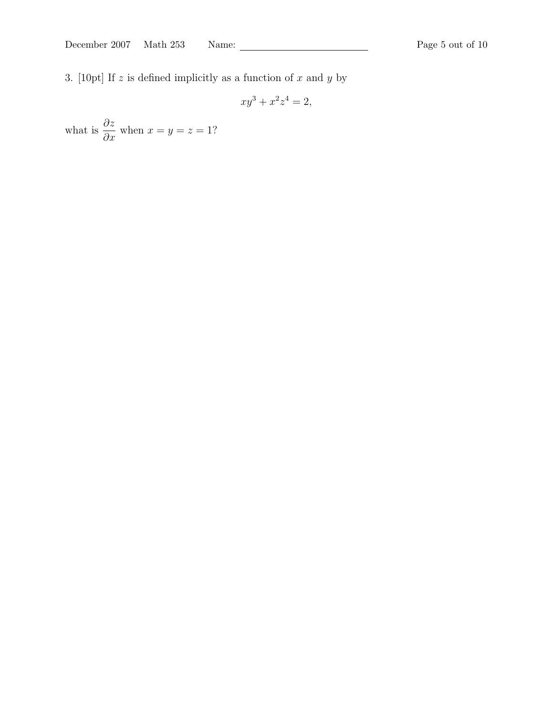3. [10pt] If  $z$  is defined implicitly as a function of  $x$  and  $y$  by

$$
xy^3 + x^2z^4 = 2,
$$

what is  $\frac{\partial z}{\partial x}$  $rac{\partial z}{\partial x}$  when  $x = y = z = 1$ ?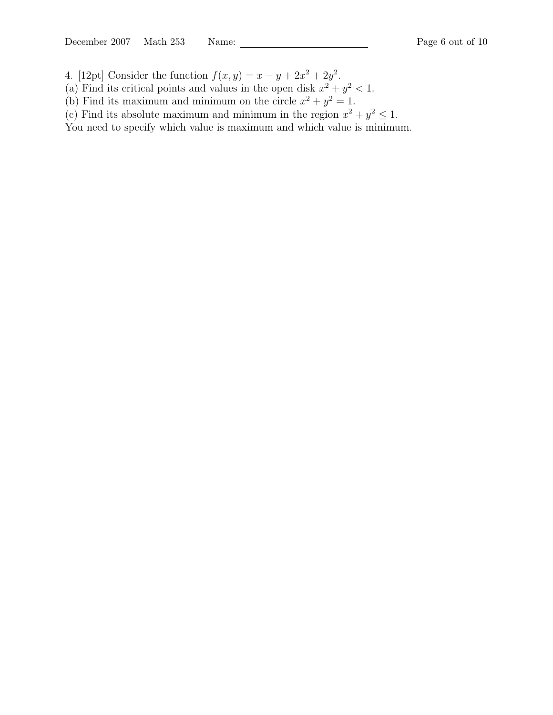4. [12pt] Consider the function  $f(x, y) = x - y + 2x^2 + 2y^2$ .

- (a) Find its critical points and values in the open disk  $x^2 + y^2 < 1$ .
- (b) Find its maximum and minimum on the circle  $x^2 + y^2 = 1$ .
- (c) Find its absolute maximum and minimum in the region  $x^2 + y^2 \leq 1$ .

You need to specify which value is maximum and which value is minimum.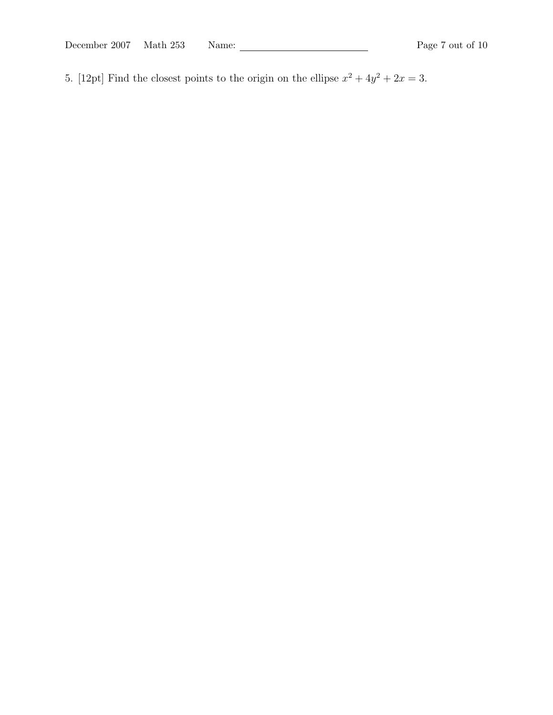December 2007 Math 253 Name: Page 7 out of 10

5. [12pt] Find the closest points to the origin on the ellipse  $x^2 + 4y^2 + 2x = 3$ .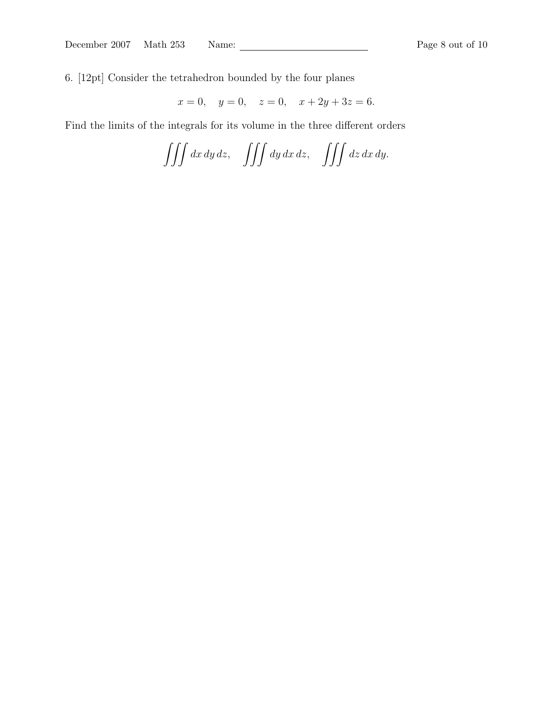6. [12pt] Consider the tetrahedron bounded by the four planes

$$
x = 0
$$
,  $y = 0$ ,  $z = 0$ ,  $x + 2y + 3z = 6$ .

Find the limits of the integrals for its volume in the three different orders

$$
\iiint dx dy dz, \quad \iiint dy dx dz, \quad \iiint dz dx dy.
$$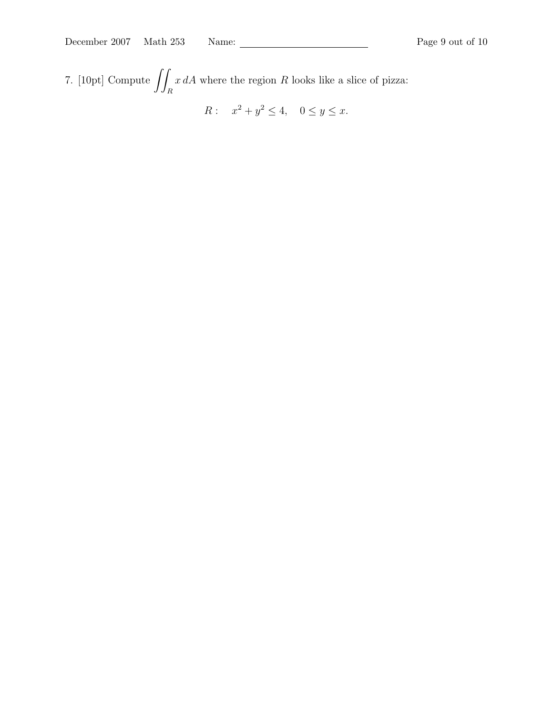7. [10pt] Compute  $\int$ R  $x dA$  where the region R looks like a slice of pizza:

 $R: x^2 + y^2 \le 4, \quad 0 \le y \le x.$